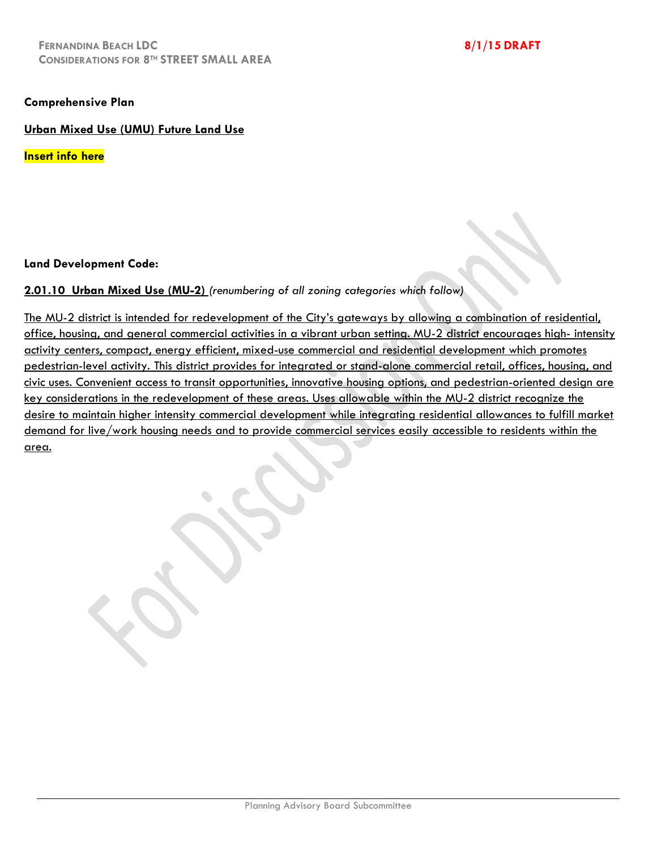## **Comprehensive Plan**

**Urban Mixed Use (UMU) Future Land Use**

**Insert info here**

## **Land Development Code:**

## **2.01.10 Urban Mixed Use (MU-2)** *(renumbering of all zoning categories which follow)*

The MU-2 district is intended for redevelopment of the City's gateways by allowing a combination of residential, office, housing, and general commercial activities in a vibrant urban setting. MU-2 district encourages high- intensity activity centers, compact, energy efficient, mixed-use commercial and residential development which promotes pedestrian-level activity. This district provides for integrated or stand-alone commercial retail, offices, housing, and civic uses. Convenient access to transit opportunities, innovative housing options, and pedestrian-oriented design are key considerations in the redevelopment of these areas. Uses allowable within the MU-2 district recognize the desire to maintain higher intensity commercial development while integrating residential allowances to fulfill market demand for live/work housing needs and to provide commercial services easily accessible to residents within the area.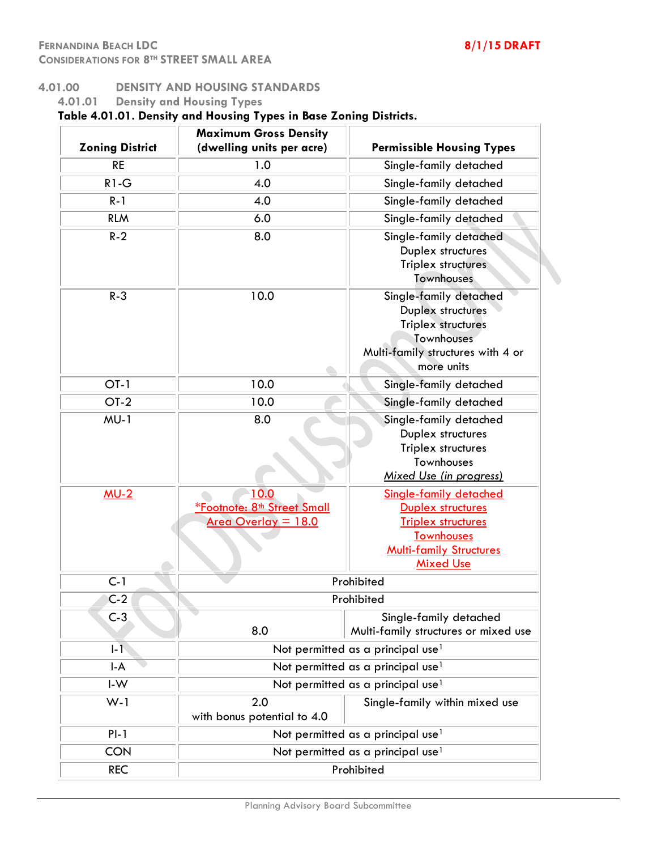$\overline{a}$ 

## **4.01.00 DENSITY AND HOUSING STANDARDS**

**4.01.01 Density and Housing Types**

# **Table 4.01.01. Density and Housing Types in Base Zoning Districts.**

|                        | <b>Maximum Gross Density</b>                                                                       |                                                                                                                                                     |
|------------------------|----------------------------------------------------------------------------------------------------|-----------------------------------------------------------------------------------------------------------------------------------------------------|
| <b>Zoning District</b> | (dwelling units per acre)                                                                          | <b>Permissible Housing Types</b>                                                                                                                    |
| <b>RE</b>              | 1.0                                                                                                | Single-family detached                                                                                                                              |
| $R1-G$                 | 4.0                                                                                                | Single-family detached                                                                                                                              |
| $R - 1$                | 4.0                                                                                                | Single-family detached                                                                                                                              |
| <b>RLM</b>             | 6.0                                                                                                | Single-family detached                                                                                                                              |
| $R-2$                  | 8.0                                                                                                | Single-family detached<br>Duplex structures<br>Triplex structures<br>Townhouses                                                                     |
| $R - 3$                | 10.0                                                                                               | Single-family detached<br>Duplex structures<br><b>Triplex structures</b><br>Townhouses<br>Multi-family structures with 4 or<br>more units           |
| $OT-1$                 | 10.0                                                                                               | Single-family detached                                                                                                                              |
| $OT-2$                 | 10.0                                                                                               | Single-family detached                                                                                                                              |
| $MU-1$                 | 8.0                                                                                                | Single-family detached<br>Duplex structures<br>Triplex structures<br>Townhouses<br>Mixed Use (in progress)                                          |
| $MU-2$                 | 10.0<br><b><i><u>*Footnote: 8<sup>th</sup> Street Small</u></i></b><br><u> Area Overlay = 18.0</u> | Single-family detached<br>Duplex structures<br><b>Triplex structures</b><br><b>Townhouses</b><br><b>Multi-family Structures</b><br><b>Mixed Use</b> |
| $C-1$                  |                                                                                                    | Prohibited                                                                                                                                          |
| $C-2$                  |                                                                                                    | Prohibited                                                                                                                                          |
| $C-3$                  | 8.0                                                                                                | Single-family detached<br>Multi-family structures or mixed use                                                                                      |
| $  -  $                |                                                                                                    | Not permitted as a principal use <sup>1</sup>                                                                                                       |
| $I - A$                |                                                                                                    | Not permitted as a principal use <sup>1</sup>                                                                                                       |
| $I-W$                  |                                                                                                    | Not permitted as a principal use <sup>1</sup>                                                                                                       |
| $W-1$                  | 2.0<br>with bonus potential to 4.0                                                                 | Single-family within mixed use                                                                                                                      |
| $PI-1$                 |                                                                                                    | Not permitted as a principal use <sup>1</sup>                                                                                                       |
| <b>CON</b>             |                                                                                                    | Not permitted as a principal use <sup>1</sup>                                                                                                       |
| <b>REC</b>             |                                                                                                    | Prohibited                                                                                                                                          |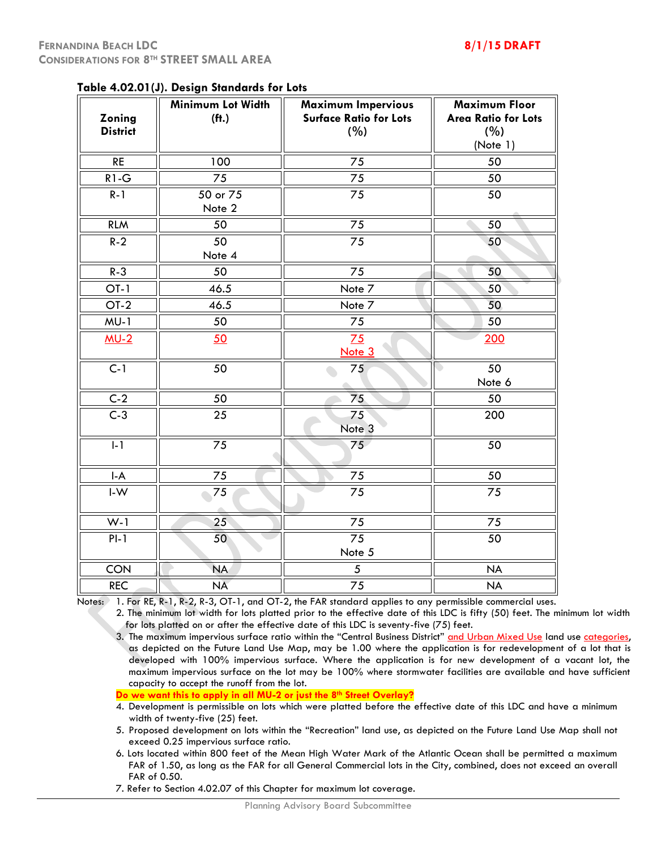| Zoning<br><b>District</b>      | adic 4.02.01 (9). Design bianuarus for Edis<br>Minimum Lot Width<br>(f <sub>1</sub> ) | Maximum Impervious<br><b>Surface Ratio for Lots</b><br>(%) | <b>Maximum Floor</b><br><b>Area Ratio for Lots</b><br>(%)<br>(Note 1) |
|--------------------------------|---------------------------------------------------------------------------------------|------------------------------------------------------------|-----------------------------------------------------------------------|
| <b>RE</b>                      | 100                                                                                   | 75                                                         | 50                                                                    |
| $R1-G$                         | 75                                                                                    | 75                                                         | 50                                                                    |
| $R-1$                          | 50 or 75<br>Note 2                                                                    | 75                                                         | 50                                                                    |
| <b>RLM</b>                     | 50                                                                                    | 75                                                         | 50                                                                    |
| $R-2$                          | 50<br>Note 4                                                                          | 75                                                         | 50                                                                    |
| $R-3$                          | 50                                                                                    | 75                                                         | 50                                                                    |
| $OT-1$                         | 46.5                                                                                  | Note 7                                                     | 50                                                                    |
| $OT-2$                         | 46.5                                                                                  | Note 7                                                     | 50                                                                    |
| $MU-1$                         | 50                                                                                    | 75                                                         | 50                                                                    |
| $MU-2$                         | 50                                                                                    | 75<br>Note <sub>3</sub>                                    | 200                                                                   |
| $\overline{C-1}$               | $\overline{50}$                                                                       | 75                                                         | $\overline{50}$<br>o)<br>Note 6                                       |
| $C-2$                          | $\overline{50}$                                                                       | $\overline{75}$                                            | 50                                                                    |
| $C-3$                          | 25                                                                                    | 75<br>Note <sub>3</sub>                                    | 200                                                                   |
| $I-1$                          | 75                                                                                    | 75                                                         | 50                                                                    |
| $\mathsf{I}\text{-}\mathsf{A}$ | 75                                                                                    | 75                                                         | 50                                                                    |
| $\mathsf{I}\text{-}\mathsf{W}$ | 75                                                                                    | 75                                                         | 75                                                                    |
| $W-1$                          | 25                                                                                    | 75                                                         | 75                                                                    |
| $PI-1$                         | 50                                                                                    | 75<br>Note 5                                               | 50                                                                    |
| <b>CON</b>                     | <b>NA</b>                                                                             | $\sqrt{5}$                                                 | <b>NA</b>                                                             |
| <b>REC</b>                     | <b>NA</b>                                                                             | 75                                                         | <b>NA</b>                                                             |

## **Table 4.02.01(J). Design Standards for Lots**

Notes: 1. For RE, R-1, R-2, R-3, OT-1, and OT-2, the FAR standard applies to any permissible commercial uses.

2. The minimum lot width for lots platted prior to the effective date of this LDC is fifty (50) feet. The minimum lot width for lots platted on or after the effective date of this LDC is seventy-five (75) feet.

3. The maximum impervious surface ratio within the "Central Business District" and Urban Mixed Use land use categories, as depicted on the Future Land Use Map, may be 1.00 where the application is for redevelopment of a lot that is developed with 100% impervious surface. Where the application is for new development of a vacant lot, the maximum impervious surface on the lot may be 100% where stormwater facilities are available and have sufficient capacity to accept the runoff from the lot.

**Do we want this to apply in all MU-2 or just the 8th Street Overlay?**

4. Development is permissible on lots which were platted before the effective date of this LDC and have a minimum width of twenty-five (25) feet.

5. Proposed development on lots within the "Recreation" land use, as depicted on the Future Land Use Map shall not exceed 0.25 impervious surface ratio.

6. Lots located within 800 feet of the Mean High Water Mark of the Atlantic Ocean shall be permitted a maximum FAR of 1.50, as long as the FAR for all General Commercial lots in the City, combined, does not exceed an overall FAR of 0.50.

7. Refer to Section 4.02.07 of this Chapter for maximum lot coverage.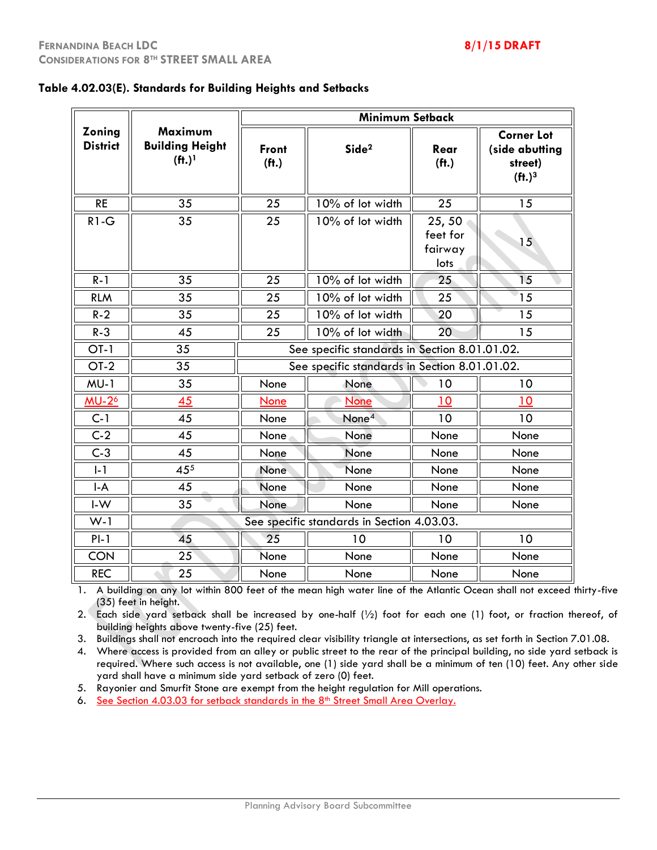|                                  |                                                          |                                   | <b>Minimum Setback</b>                        |                                      |                                                                                  |
|----------------------------------|----------------------------------------------------------|-----------------------------------|-----------------------------------------------|--------------------------------------|----------------------------------------------------------------------------------|
| <b>Zoning</b><br><b>District</b> | Maximum<br><b>Building Height</b><br>$(f1)$ <sup>1</sup> | <b>Front</b><br>(f <sub>t</sub> ) | Side <sup>2</sup>                             | Rear<br>(f <sub>t</sub> )            | <b>Corner Lot</b><br>(side abutting<br>street)<br>(f <sup>1</sup> ) <sup>3</sup> |
| <b>RE</b>                        | 35                                                       | 25                                | 10% of lot width                              | 25                                   | 15                                                                               |
| $R1-G$                           | 35                                                       | 25                                | 10% of lot width                              | 25,50<br>feet for<br>fairway<br>lots | 15                                                                               |
| $R - 1$                          | 35                                                       | 25                                | 10% of lot width                              | 25                                   | 15                                                                               |
| <b>RLM</b>                       | 35                                                       | 25                                | 10% of lot width                              | 25                                   | 15                                                                               |
| $R - 2$                          | 35                                                       | 25                                | $10\%$ of lot width                           | 20                                   | 15                                                                               |
| $R - 3$                          | 45                                                       | 25                                | 10% of lot width                              | 20                                   | 15                                                                               |
| $OT-1$                           | 35                                                       |                                   | See specific standards in Section 8.01.01.02. |                                      |                                                                                  |
| $OT-2$                           | 35                                                       |                                   | See specific standards in Section 8.01.01.02. |                                      |                                                                                  |
| $MU-1$                           | 35                                                       | None                              | None                                          | 10                                   | 10                                                                               |
| <b>MU-2<sup>6</sup></b>          | 45                                                       | <b>None</b>                       | None                                          | 10                                   | 10                                                                               |
| $C-1$                            | 45                                                       | None                              | None <sup>4</sup>                             | 10                                   | 10                                                                               |
| $C-2$                            | 45                                                       | None                              | None                                          | None                                 | None                                                                             |
| $C-3$                            | 45                                                       | None                              | None                                          | None                                 | None                                                                             |
| $I - 1$                          | 455                                                      | None                              | None                                          | None                                 | None                                                                             |
| $I-A$                            | 45                                                       | None                              | None                                          | None                                 | None                                                                             |
| $I-W$                            | 35                                                       | None                              | None                                          | None                                 | None                                                                             |
| $W-1$                            |                                                          |                                   | See specific standards in Section 4.03.03.    |                                      |                                                                                  |
| $PI-1$                           | 45                                                       | 25                                | 10                                            | 10                                   | 10                                                                               |
| <b>CON</b>                       | 25                                                       | None                              | None                                          | None                                 | None                                                                             |
| <b>REC</b>                       | 25                                                       | None                              | None                                          | None                                 | None                                                                             |

1. A building on any lot within 800 feet of the mean high water line of the Atlantic Ocean shall not exceed thirty-five (35) feet in height.

2. Each side yard setback shall be increased by one-half (½) foot for each one (1) foot, or fraction thereof, of building heights above twenty-five (25) feet.

3. Buildings shall not encroach into the required clear visibility triangle at intersections, as set forth in Section 7.01.08.

4. Where access is provided from an alley or public street to the rear of the principal building, no side yard setback is required. Where such access is not available, one (1) side yard shall be a minimum of ten (10) feet. Any other side yard shall have a minimum side yard setback of zero (0) feet.

5. Rayonier and Smurfit Stone are exempt from the height regulation for Mill operations.

6. See Section 4.03.03 for setback standards in the 8<sup>th</sup> Street Small Area Overlay.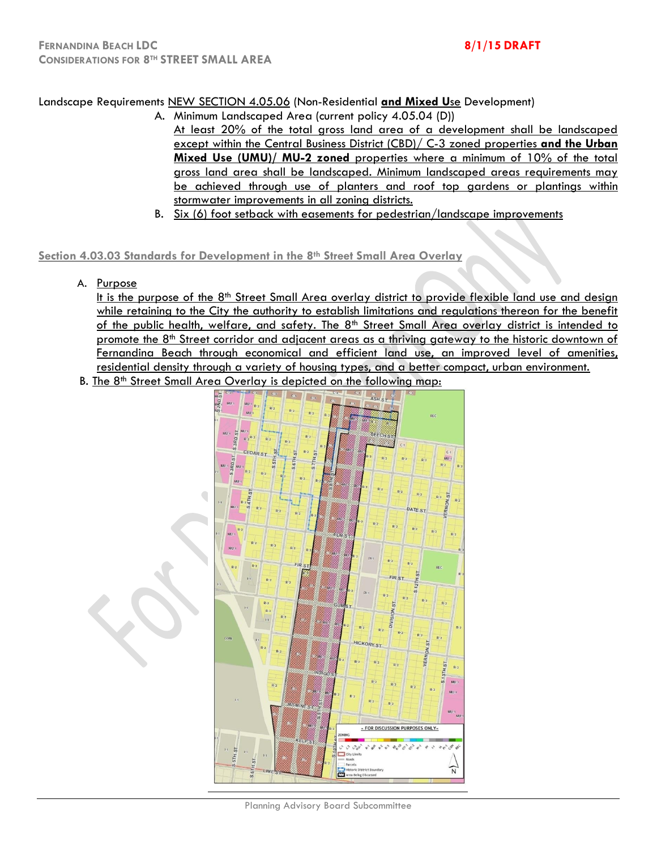## Landscape Requirements NEW SECTION 4.05.06 (Non-Residential **and Mixed U**se Development)

- A. Minimum Landscaped Area (current policy 4.05.04 (D)) At least 20% of the total gross land area of a development shall be landscaped except within the Central Business District (CBD)/ C-3 zoned properties **and the Urban Mixed Use (UMU)/ MU-2 zoned** properties where a minimum of 10% of the total gross land area shall be landscaped. Minimum landscaped areas requirements may be achieved through use of planters and roof top gardens or plantings within stormwater improvements in all zoning districts.
- B. Six (6) foot setback with easements for pedestrian/landscape improvements

## **Section 4.03.03 Standards for Development in the 8th Street Small Area Overlay**

A. Purpose

It is the purpose of the  $8<sup>th</sup>$  Street Small Area overlay district to provide flexible land use and design while retaining to the City the authority to establish limitations and regulations thereon for the benefit of the public health, welfare, and safety. The 8<sup>th</sup> Street Small Area overlay district is intended to promote the  $8<sup>th</sup>$  Street corridor and adjacent areas as a thriving gateway to the historic downtown of Fernandina Beach through economical and efficient land use, an improved level of amenities, residential density through a variety of housing types, and a better compact, urban environment.

B. The 8<sup>th</sup> Street Small Area Overlay is depicted on the following map:



Planning Advisory Board Subcommittee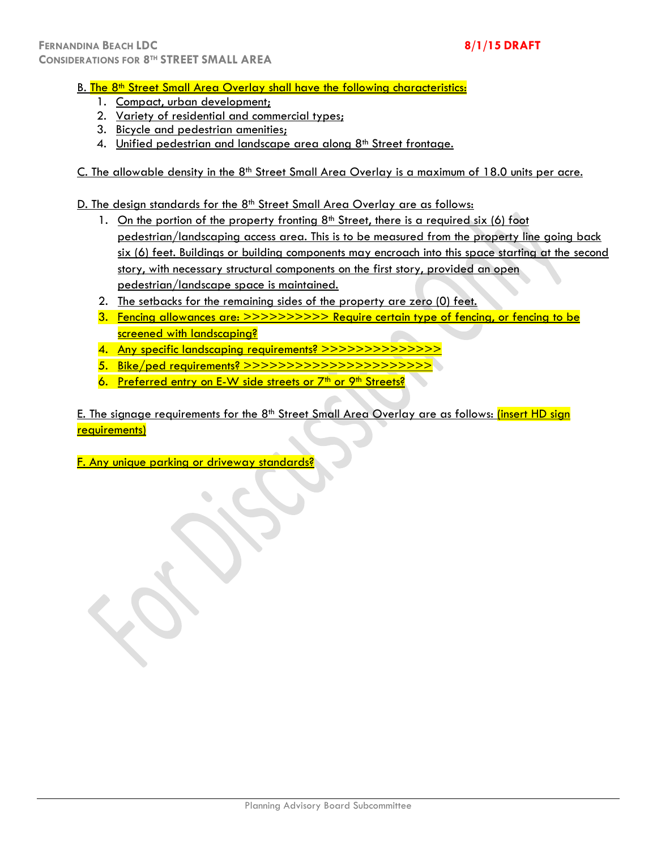## B. The 8<sup>th</sup> Street Small Area Overlay shall have the following characteristics:

- 1. Compact, urban development;
- 2. Variety of residential and commercial types;
- 3. Bicycle and pedestrian amenities;
- 4. Unified pedestrian and landscape area along 8<sup>th</sup> Street frontage.
- C. The allowable density in the  $8<sup>th</sup>$  Street Small Area Overlay is a maximum of 18.0 units per acre.

D. The design standards for the 8<sup>th</sup> Street Small Area Overlay are as follows:

- 1. On the portion of the property fronting  $8<sup>th</sup>$  Street, there is a required six (6) foot pedestrian/landscaping access area. This is to be measured from the property line going back six (6) feet. Buildings or building components may encroach into this space starting at the second story, with necessary structural components on the first story, provided an open pedestrian/landscape space is maintained.
- 2. The setbacks for the remaining sides of the property are zero (0) feet.
- 3. Fencing allowances are: >>>>>>>>>> Require certain type of fencing, or fencing to be screened with landscaping?
- 4. Any specific landscaping requirements? >>>>>>>>>>>>>>
- 5. Bike/ped requirements? >>>>>>>>>>>>>>>>>>>>>>
- 6. Preferred entry on E-W side streets or  $7<sup>th</sup>$  or  $9<sup>th</sup>$  Streets?

E. The signage requirements for the  $8<sup>th</sup>$  Street Small Area Overlay are as follows: (insert HD sign requirements)

F. Any unique parking or driveway standards?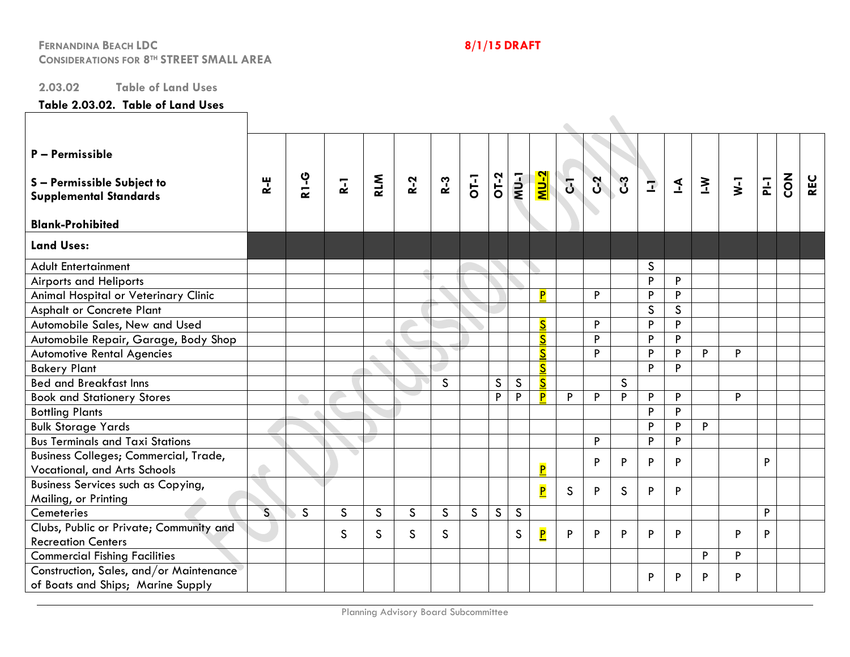## **2.03.02 Table of Land Uses**

## **Table 2.03.02. Table of Land Uses**

| P - Permissible<br>S-Permissible Subject to<br><b>Supplemental Standards</b><br><b>Blank-Prohibited</b> | R-E                     | <b>2-13</b>  | $\overline{a}$ | <b>RLM</b>   | $R-2$        | $R-3$        | $O[-1]$      | $\overline{O1-2}$ | $NU-1$       | <u>X-UM</u>             | $\overline{G}$ | $\mathfrak{L}$ | C3           | $\Rightarrow$ | $\mathbf{I}$ | $\sum$ | $\overline{\mathsf{x}}$ | $\overline{=}$ | $\mathbf{S}^{\mathbf{C}}$ | <b>REC</b> |
|---------------------------------------------------------------------------------------------------------|-------------------------|--------------|----------------|--------------|--------------|--------------|--------------|-------------------|--------------|-------------------------|----------------|----------------|--------------|---------------|--------------|--------|-------------------------|----------------|---------------------------|------------|
| <b>Land Uses:</b>                                                                                       |                         |              |                |              |              |              |              |                   |              |                         |                |                |              |               |              |        |                         |                |                           |            |
| <b>Adult Entertainment</b>                                                                              |                         |              |                |              |              |              |              |                   |              |                         |                |                |              | S             |              |        |                         |                |                           |            |
| <b>Airports and Heliports</b>                                                                           |                         |              |                |              |              |              |              |                   |              |                         |                |                |              | P             | P            |        |                         |                |                           |            |
| Animal Hospital or Veterinary Clinic                                                                    |                         |              |                |              |              |              |              |                   |              | P                       |                | P              |              | P             | P            |        |                         |                |                           |            |
| <b>Asphalt or Concrete Plant</b>                                                                        |                         |              |                |              |              |              |              |                   |              |                         |                |                |              | $\mathsf{S}$  | $\mathsf{S}$ |        |                         |                |                           |            |
| Automobile Sales, New and Used                                                                          |                         |              |                |              |              |              |              |                   |              | $\overline{\mathbf{S}}$ |                | P              |              | P             | P            |        |                         |                |                           |            |
| Automobile Repair, Garage, Body Shop                                                                    |                         |              |                |              |              |              |              |                   |              | $\overline{\mathbf{S}}$ |                | P              |              | P             | P            |        |                         |                |                           |            |
| <b>Automotive Rental Agencies</b>                                                                       |                         |              |                |              |              |              |              |                   |              | $\overline{\mathbf{S}}$ |                | P              |              | P             | P            | P      | P                       |                |                           |            |
| <b>Bakery Plant</b>                                                                                     |                         |              |                |              |              |              |              |                   |              | $\overline{\mathbf{S}}$ |                |                |              | P             | P            |        |                         |                |                           |            |
| <b>Bed and Breakfast Inns</b>                                                                           |                         |              |                |              |              | S            |              | $\mathsf{S}$      | $\mathsf S$  | $\overline{\mathbf{S}}$ |                |                | $\mathsf{S}$ |               |              |        |                         |                |                           |            |
| <b>Book and Stationery Stores</b>                                                                       |                         |              |                |              |              |              |              | P                 | P            | P                       | P              | P              | P            | P             | P            |        | P                       |                |                           |            |
| <b>Bottling Plants</b>                                                                                  |                         |              |                |              |              |              |              |                   |              |                         |                |                |              | P             | P            |        |                         |                |                           |            |
| <b>Bulk Storage Yards</b>                                                                               |                         |              |                |              |              |              |              |                   |              |                         |                |                |              | P             | P            | P      |                         |                |                           |            |
| <b>Bus Terminals and Taxi Stations</b>                                                                  |                         |              |                |              |              |              |              |                   |              |                         |                | P              |              | P             | P            |        |                         |                |                           |            |
| Business Colleges; Commercial, Trade,<br>Vocational, and Arts Schools                                   |                         |              |                |              |              |              |              |                   |              | $\overline{\mathsf{P}}$ |                | P              | P            | P             | P            |        |                         | P              |                           |            |
| Business Services such as Copying,                                                                      |                         |              |                |              |              |              |              |                   |              |                         |                | P              |              |               |              |        |                         |                |                           |            |
| Mailing, or Printing                                                                                    |                         |              |                |              |              |              |              |                   |              | P                       | $\mathsf{S}$   |                | $\mathsf{S}$ | P             | P            |        |                         |                |                           |            |
| Cemeteries                                                                                              | $\overline{\mathsf{S}}$ | $\mathsf{S}$ | $\mathsf{S}$   | $\mathsf{S}$ | $\mathsf{S}$ | $\mathsf{S}$ | $\mathsf{S}$ | $\mathsf{S}$      | $\mathsf{S}$ |                         |                |                |              |               |              |        |                         | P              |                           |            |
| Clubs, Public or Private; Community and<br><b>Recreation Centers</b>                                    |                         |              | $\mathsf{S}$   | S            | $\mathsf{S}$ | S.           |              |                   | $\mathsf{S}$ | $\overline{\mathbf{P}}$ | P              | P              | P            | P             | P            |        | P                       | P              |                           |            |
| <b>Commercial Fishing Facilities</b>                                                                    |                         |              |                |              |              |              |              |                   |              |                         |                |                |              |               |              | P      | P                       |                |                           |            |
| Construction, Sales, and/or Maintenance<br>of Boats and Ships; Marine Supply                            |                         |              |                |              |              |              |              |                   |              |                         |                |                |              | P             | P            | P      | P                       |                |                           |            |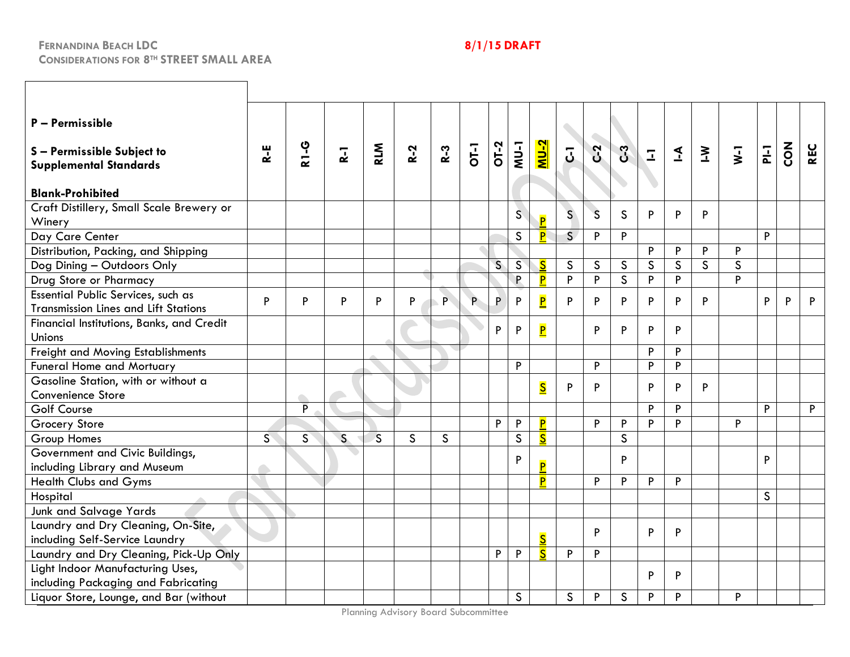**CONSIDERATIONS FOR 8TH STREET SMALL AREA**

# **FERNANDINA BEACH LDC 8/1/15 DRAFT**

| P - Permissible<br>S-Permissible Subject to<br><b>Supplemental Standards</b><br><b>Blank-Prohibited</b> | $R - E$ | <b>R1-G</b>        | $\overline{a}$ | <b>RLM</b>   | $R-2$        | $R-3$        | $\overline{C}$ | OT-2         | $MU-1$         | <u>NU-2</u>             | $\overline{5}$          | $C-2$        | ပိ           | $\overline{1}$ | $\mathbf{I}$ | $\geq$       | $\overline{\mathbf{y}}$ | $\frac{1}{2}$ | Z<br>O | <b>REC</b> |
|---------------------------------------------------------------------------------------------------------|---------|--------------------|----------------|--------------|--------------|--------------|----------------|--------------|----------------|-------------------------|-------------------------|--------------|--------------|----------------|--------------|--------------|-------------------------|---------------|--------|------------|
| Craft Distillery, Small Scale Brewery or<br>Winery                                                      |         |                    |                |              |              |              |                |              | $\overline{S}$ | Þ                       | $\mathsf{S}$            | $\mathsf{S}$ | $\mathsf{S}$ | P              | P            | P            |                         |               |        |            |
| Day Care Center                                                                                         |         |                    |                |              |              |              |                |              | $\mathsf{S}$   | $\overline{\mathsf{P}}$ | $\overline{\mathsf{S}}$ | $\mathsf P$  | $\, {\sf P}$ |                |              |              |                         | P             |        |            |
| Distribution, Packing, and Shipping                                                                     |         |                    |                |              |              |              |                |              |                |                         |                         |              |              | P              | P            | P            | P                       |               |        |            |
| Dog Dining - Outdoors Only                                                                              |         |                    |                |              |              |              |                | $\mathsf{S}$ | $\mathsf{S}$   | $\overline{\mathbf{S}}$ | $\mathsf{S}$            | $\mathsf{S}$ | $\mathsf{S}$ | $\mathsf{S}$   | $\mathsf{S}$ | $\mathsf{S}$ | $\mathsf{S}$            |               |        |            |
| Drug Store or Pharmacy                                                                                  |         |                    |                |              |              |              |                |              | P              | $\overline{\mathsf{P}}$ | P                       | P            | $\mathsf{S}$ | P              | P            |              | P                       |               |        |            |
| Essential Public Services, such as<br><b>Transmission Lines and Lift Stations</b>                       | P       | P                  | P              | P            | P            | $\mathsf{P}$ | P              | P            | P              | $\overline{\mathbf{P}}$ | P                       | P            | P            | P              | P            | P            |                         | P             | P      | P          |
| Financial Institutions, Banks, and Credit<br>Unions                                                     |         |                    |                |              |              |              |                | P            | ${\sf P}$      | $\overline{\mathbf{P}}$ |                         | P            | P            | P              | P            |              |                         |               |        |            |
| Freight and Moving Establishments                                                                       |         |                    |                |              |              |              |                |              |                |                         |                         |              |              | P              | P            |              |                         |               |        |            |
| <b>Funeral Home and Mortuary</b>                                                                        |         |                    |                |              |              |              |                |              | P              |                         |                         | P            |              | P              | P            |              |                         |               |        |            |
| Gasoline Station, with or without a<br>Convenience Store                                                |         | $\curvearrowright$ |                |              |              |              |                |              |                | $\overline{\mathbf{S}}$ | P                       | P            |              | P              | P            | P            |                         |               |        |            |
| <b>Golf Course</b>                                                                                      |         | $\overline{P}$     |                |              |              |              |                |              |                |                         |                         |              |              | P              | P            |              |                         | P             |        | P          |
| Grocery Store                                                                                           |         |                    |                |              |              |              |                | P            | P              | P                       |                         | P            | P            | P              | P            |              | P                       |               |        |            |
| <b>Group Homes</b>                                                                                      | S       | S                  | $\mathsf{S}$   | $\mathsf{S}$ | $\mathsf{S}$ | $\mathsf S$  |                |              | $\mathsf S$    | $\overline{\mathbf{S}}$ |                         |              | $\mathsf{S}$ |                |              |              |                         |               |        |            |
| Government and Civic Buildings,<br>including Library and Museum                                         |         |                    |                |              |              |              |                |              | $\, {\sf P}$   | P                       |                         |              | P            |                |              |              |                         | P             |        |            |
| <b>Health Clubs and Gyms</b>                                                                            |         |                    |                |              |              |              |                |              |                | P                       |                         | P            | P            | P              | P            |              |                         |               |        |            |
| Hospital                                                                                                |         |                    |                |              |              |              |                |              |                |                         |                         |              |              |                |              |              |                         | $\mathsf{S}$  |        |            |
| <b>Junk and Salvage Yards</b>                                                                           |         |                    |                |              |              |              |                |              |                |                         |                         |              |              |                |              |              |                         |               |        |            |
| Laundry and Dry Cleaning, On-Site,                                                                      |         |                    |                |              |              |              |                |              |                |                         |                         | P            |              | P              | $\sf P$      |              |                         |               |        |            |
| including Self-Service Laundry                                                                          |         |                    |                |              |              |              |                |              |                | $\overline{\mathsf{S}}$ |                         |              |              |                |              |              |                         |               |        |            |
| Laundry and Dry Cleaning, Pick-Up Only                                                                  |         |                    |                |              |              |              |                | P            | P              | $\overline{\mathbf{S}}$ | $\, {\sf P}$            | P            |              |                |              |              |                         |               |        |            |
| Light Indoor Manufacturing Uses,<br>including Packaging and Fabricating                                 |         |                    |                |              |              |              |                |              |                |                         |                         |              |              | P              | P            |              |                         |               |        |            |
| Liquor Store, Lounge, and Bar (without                                                                  |         |                    |                |              |              |              |                |              | $\mathsf{S}$   |                         | $\mathsf{S}$            | P            | $\mathsf S$  | P              | P            |              | P                       |               |        |            |

Planning Advisory Board Subcommittee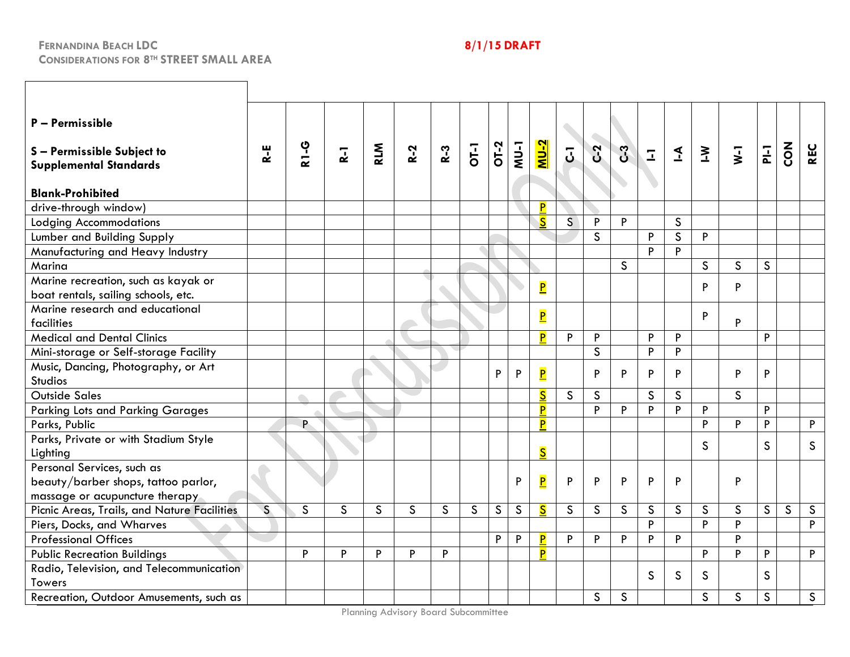| P - Permissible<br>S-Permissible Subject to<br><b>Supplemental Standards</b>                        | R-E          | <b>R1-G</b>              | $\overline{R}$ | <b>RLM</b>   | $R-2$        | $R-3$        | <b>OT-1</b>  |   | $\frac{1}{2}$ | <u>NU-2</u>             | $\overline{5}$ | $C-2$        | c <sub>3</sub> | $\overline{\mathbb{Z}}$ | $\leq$       | $\geq$       | $\overline{\mathbf{y}}$ | $\overline{P}$ | $\overline{c}$ | <b>REC</b>   |
|-----------------------------------------------------------------------------------------------------|--------------|--------------------------|----------------|--------------|--------------|--------------|--------------|---|---------------|-------------------------|----------------|--------------|----------------|-------------------------|--------------|--------------|-------------------------|----------------|----------------|--------------|
| <b>Blank-Prohibited</b>                                                                             |              |                          |                |              |              |              |              |   |               |                         |                |              |                |                         |              |              |                         |                |                |              |
| drive-through window)                                                                               |              |                          |                |              |              |              |              |   |               | P                       |                |              |                |                         |              |              |                         |                |                |              |
| <b>Lodging Accommodations</b>                                                                       |              |                          |                |              |              |              |              |   |               | $\overline{\mathsf{S}}$ | $\mathsf{S}$   | P            | P              |                         | $\mathsf{S}$ |              |                         |                |                |              |
| Lumber and Building Supply                                                                          |              |                          |                |              |              |              |              |   |               |                         |                | S            |                | P                       | $\mathsf{S}$ | P            |                         |                |                |              |
| Manufacturing and Heavy Industry                                                                    |              |                          |                |              |              |              |              |   |               |                         |                |              |                | P                       | P            |              |                         |                |                |              |
| Marina                                                                                              |              |                          |                |              |              |              |              |   |               |                         |                |              | $\mathsf{S}$   |                         |              | <sub>S</sub> | $\mathsf{S}$            | <sub>S</sub>   |                |              |
| Marine recreation, such as kayak or<br>boat rentals, sailing schools, etc.                          |              |                          |                |              |              |              |              |   |               | $\overline{\mathbf{P}}$ |                |              |                |                         |              | P            | P                       |                |                |              |
| Marine research and educational<br>facilities                                                       |              |                          |                |              |              |              |              |   |               | $\overline{\mathsf{P}}$ |                |              |                |                         |              | P            | P                       |                |                |              |
| <b>Medical and Dental Clinics</b>                                                                   |              |                          |                |              |              |              |              |   |               | P                       | P              | P            |                | P                       | P            |              |                         | P              |                |              |
| Mini-storage or Self-storage Facility                                                               |              |                          |                |              |              |              |              |   |               |                         |                | $\mathsf{S}$ |                | P                       | P            |              |                         |                |                |              |
| Music, Dancing, Photography, or Art                                                                 |              |                          |                |              |              |              |              |   |               |                         |                |              |                |                         |              |              |                         |                |                |              |
| Studios                                                                                             |              |                          |                |              |              |              |              | P | P             | $\overline{\mathbf{P}}$ |                | P            | P              | P                       | P            |              | P                       | P              |                |              |
| <b>Outside Sales</b>                                                                                |              | $\overline{\phantom{a}}$ |                |              |              |              |              |   |               | $\overline{\mathsf{s}}$ | $\mathsf{S}$   | $\mathsf{S}$ |                | $\mathsf{S}$            | $\mathsf{S}$ |              | $\mathsf{S}$            |                |                |              |
| <b>Parking Lots and Parking Garages</b>                                                             |              |                          |                |              |              |              |              |   |               | P                       |                | P            | P              | P                       | P            | P            |                         | P              |                |              |
| Parks, Public                                                                                       |              | P.                       |                |              |              |              |              |   |               | P                       |                |              |                |                         |              | P            | P                       | P              |                | P            |
| Parks, Private or with Stadium Style<br>Lighting                                                    |              |                          |                |              |              |              |              |   |               | $\overline{\mathsf{S}}$ |                |              |                |                         |              | <sub>S</sub> |                         | $\mathsf{S}$   |                | S            |
| Personal Services, such as<br>beauty/barber shops, tattoo parlor,<br>massage or acupuncture therapy |              |                          |                |              |              |              |              |   | P             | $\overline{\mathsf{P}}$ | P              | P            | P              | P                       | P            |              | P                       |                |                |              |
| Picnic Areas, Trails, and Nature Facilities                                                         | $\mathsf{S}$ | $\mathsf{S}$             | $\mathsf{S}$   | $\mathsf{S}$ | $\mathsf{S}$ | $\mathsf{S}$ | $\mathsf{S}$ | S | $\mathsf{S}$  | $\overline{\mathsf{S}}$ | $\mathsf{S}$   | $\mathsf{S}$ | S              | $\mathsf{S}$            | $\mathsf{S}$ | $\mathsf{S}$ | $\mathsf{S}$            | $\mathsf{S}$   | $\mathsf{S}$   | $\mathsf{S}$ |
| Piers, Docks, and Wharves                                                                           |              |                          |                |              |              |              |              |   |               |                         |                |              |                | P                       |              | P            | P                       |                |                | P            |
| <b>Professional Offices</b>                                                                         |              |                          |                |              |              |              |              | P | P             | P                       | P              | P            | P              | P                       | P            |              | P                       |                |                |              |
| <b>Public Recreation Buildings</b>                                                                  |              | P                        | P              | P            | P            | P            |              |   |               | P                       |                |              |                |                         |              | P            | P                       | P              |                | P            |
| Radio, Television, and Telecommunication<br>Towers                                                  |              |                          |                |              |              |              |              |   |               |                         |                |              |                | S                       | $\mathsf{S}$ | <sub>S</sub> |                         | $\mathsf{S}$   |                |              |
| Recreation, Outdoor Amusements, such as                                                             |              |                          |                |              |              |              |              |   |               |                         |                | $\mathsf{S}$ | S              |                         |              | S            | $\mathsf{S}$            | $\mathsf{S}$   |                | $\mathsf{S}$ |

Planning Advisory Board Subcommittee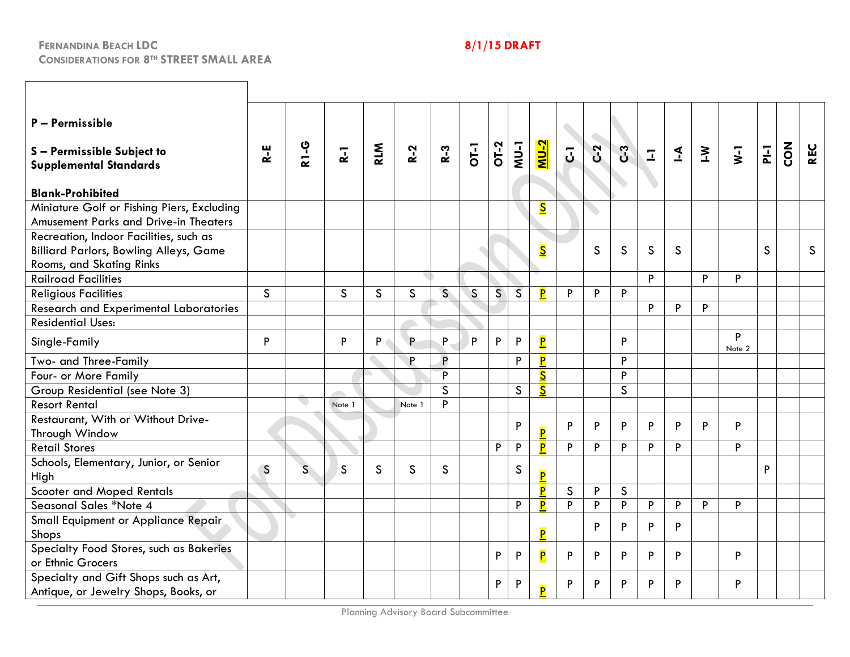| P - Permissible<br>S-Permissible Subject to<br><b>Supplemental Standards</b><br><b>Blank-Prohibited</b>             | $R - E$      | <b>R1-G</b>  | $\overline{R}$ | <b>RLM</b>         | $R-2$        | $R-3$        | $rac{1}{10}$ |   | <b>NU-1</b>    | <u>NU-2</u>             | $\overline{J}$ | $C-2$ | C <sub>3</sub> | $\overline{\mathbb{L}}$ | $\overline{\mathbf{r}}$ | $\geq$ | $\overline{\mathsf{v}}$ | $F_{-1}$     | $\sum_{i=1}^{n}$ | <b>REC</b>   |
|---------------------------------------------------------------------------------------------------------------------|--------------|--------------|----------------|--------------------|--------------|--------------|--------------|---|----------------|-------------------------|----------------|-------|----------------|-------------------------|-------------------------|--------|-------------------------|--------------|------------------|--------------|
| Miniature Golf or Fishing Piers, Excluding<br><b>Amusement Parks and Drive-in Theaters</b>                          |              |              |                |                    |              |              |              |   |                | $\overline{\mathbf{S}}$ |                |       |                |                         |                         |        |                         |              |                  |              |
| Recreation, Indoor Facilities, such as<br><b>Billiard Parlors, Bowling Alleys, Game</b><br>Rooms, and Skating Rinks |              |              |                |                    |              |              |              |   |                | $\overline{\mathbf{S}}$ |                | S     | $\mathsf{S}$   | S                       | S                       |        |                         | $\mathsf{S}$ |                  | <sub>S</sub> |
| <b>Railroad Facilities</b>                                                                                          |              |              |                |                    |              |              |              |   |                |                         |                |       |                | P                       |                         | P      | P                       |              |                  |              |
| <b>Religious Facilities</b>                                                                                         | $\mathsf{S}$ |              | S              | $\mathsf{S}$       | $\mathsf{S}$ | $\mathsf{S}$ | $\mathsf{S}$ | S | $\overline{S}$ | P                       | P              | P     | P              |                         |                         |        |                         |              |                  |              |
| <b>Research and Experimental Laboratories</b>                                                                       |              |              |                |                    |              |              |              |   |                |                         |                |       |                | P                       | P                       | P      |                         |              |                  |              |
| <b>Residential Uses:</b>                                                                                            |              |              |                |                    |              |              |              |   |                |                         |                |       |                |                         |                         |        |                         |              |                  |              |
| Single-Family                                                                                                       | P            |              | P              | $P \left( \right)$ | P            | P.           | P            | P | P              | $\overline{\mathbf{P}}$ |                |       | P              |                         |                         |        | P<br>Note 2             |              |                  |              |
| Two- and Three-Family                                                                                               |              |              |                |                    | P.           | P            |              |   | P              | $\overline{\mathbf{P}}$ |                |       | P              |                         |                         |        |                         |              |                  |              |
| Four- or More Family                                                                                                |              |              |                |                    |              | P.           |              |   |                | $\overline{\mathsf{s}}$ |                |       | P              |                         |                         |        |                         |              |                  |              |
| Group Residential (see Note 3)                                                                                      |              |              |                |                    |              | S            |              |   | $\mathsf{S}$   | $\overline{\mathbf{S}}$ |                |       | $\mathsf{S}$   |                         |                         |        |                         |              |                  |              |
| <b>Resort Rental</b>                                                                                                |              |              | Note 1         |                    | Note 1       | Þ            |              |   |                |                         |                |       |                |                         |                         |        |                         |              |                  |              |
| Restaurant, With or Without Drive-<br>Through Window                                                                |              |              |                |                    |              |              |              |   | P              | $\overline{\mathbf{P}}$ | P              | P     | P              | P                       | P                       | P      | P                       |              |                  |              |
| <b>Retail Stores</b>                                                                                                |              |              |                |                    |              |              |              | P | P              | P                       | P              | P     | P              | P                       | P                       |        | P                       |              |                  |              |
| Schools, Elementary, Junior, or Senior<br>High                                                                      | S            | $\mathsf{S}$ | S              | S                  | $\mathsf{S}$ | $\mathsf{S}$ |              |   | S              | P                       |                |       |                |                         |                         |        |                         | P            |                  |              |
| Scooter and Moped Rentals                                                                                           |              |              |                |                    |              |              |              |   |                | P                       | $\mathsf{S}$   | P     | $\mathsf{S}$   |                         |                         |        |                         |              |                  |              |
| Seasonal Sales *Note 4                                                                                              |              |              |                |                    |              |              |              |   | P              | P                       | P              | P     | P              | P                       | P                       | P      | P                       |              |                  |              |
| Small Equipment or Appliance Repair<br>Shops                                                                        |              |              |                |                    |              |              |              |   |                | P                       |                | P     | P              | P                       | P                       |        |                         |              |                  |              |
| Specialty Food Stores, such as Bakeries<br>or Ethnic Grocers                                                        |              |              |                |                    |              |              |              | P | P              | $\overline{\mathbf{P}}$ | P              | P     | P              | P                       | P                       |        | P                       |              |                  |              |
| Specialty and Gift Shops such as Art,<br>Antique, or Jewelry Shops, Books, or                                       |              |              |                |                    |              |              |              | P | P              | Þ                       | P              | P     | P              | P                       | P                       |        | P                       |              |                  |              |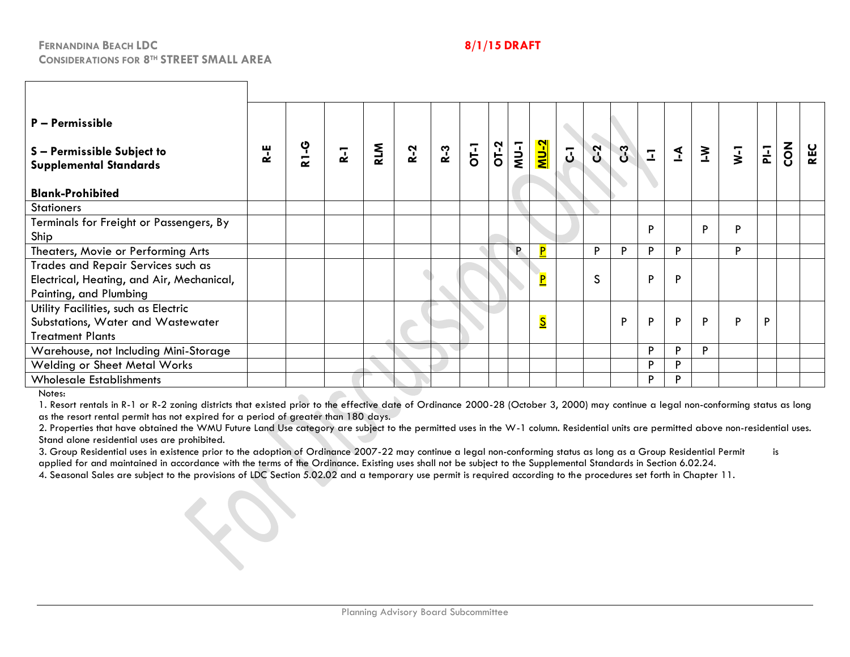| $P - Permissible$<br>S-Permissible Subject to<br><b>Supplemental Standards</b><br><b>Blank-Prohibited</b> | R-E | <b>2-18</b> | $\overline{a}$ | <b>RLM</b> | $R-2$ | $R-3$ | $\overline{O}$ | $rac{1}{2}$<br>$rac{1}{2}$ | $1$                     | $\overline{5}$ | C <sub>2</sub> | C <sub>3</sub> | $\overline{1}$ | $\blacktriangleleft$ | $\geq$ | $\overline{\mathbf{y}}$ | $F_{1}$ | $\mathsf{SO}^{\mathsf{K}}$ | <b>REC</b> |
|-----------------------------------------------------------------------------------------------------------|-----|-------------|----------------|------------|-------|-------|----------------|----------------------------|-------------------------|----------------|----------------|----------------|----------------|----------------------|--------|-------------------------|---------|----------------------------|------------|
| <b>Stationers</b>                                                                                         |     |             |                |            |       |       |                |                            |                         |                |                |                |                |                      |        |                         |         |                            |            |
| Terminals for Freight or Passengers, By<br>Ship                                                           |     |             |                |            |       |       |                |                            |                         |                |                |                | P              |                      | D      | P                       |         |                            |            |
| Theaters, Movie or Performing Arts                                                                        |     |             |                |            |       |       |                | P.                         | P                       |                | P              | P              | P              | P                    |        | P                       |         |                            |            |
| Trades and Repair Services such as<br>Electrical, Heating, and Air, Mechanical,<br>Painting, and Plumbing |     |             |                |            |       |       |                |                            | $\overline{\mathsf{P}}$ |                | S              |                | P              | P                    |        |                         |         |                            |            |
| Utility Facilities, such as Electric<br>Substations, Water and Wastewater<br><b>Treatment Plants</b>      |     |             |                |            |       |       |                |                            | $\overline{\mathsf{S}}$ |                |                | P              | P              | P                    | P      | P                       | P       |                            |            |
| Warehouse, not Including Mini-Storage                                                                     |     |             |                |            |       |       |                |                            |                         |                |                |                | P              | P                    | Þ      |                         |         |                            |            |
| <b>Welding or Sheet Metal Works</b>                                                                       |     |             |                |            |       |       |                |                            |                         |                |                |                | P              | P                    |        |                         |         |                            |            |
| <b>Wholesale Establishments</b>                                                                           |     |             |                |            |       |       |                |                            |                         |                |                |                | P              | P                    |        |                         |         |                            |            |

Notes:

1. Resort rentals in R-1 or R-2 zoning districts that existed prior to the effective date of Ordinance 2000-28 (October 3, 2000) may continue a legal non-conforming status as long as the resort rental permit has not expired for a period of greater than 180 days.

2. Properties that have obtained the WMU Future Land Use category are subject to the permitted uses in the W-1 column. Residential units are permitted above non-residential uses. Stand alone residential uses are prohibited.

3. Group Residential uses in existence prior to the adoption of Ordinance 2007-22 may continue a legal non-conforming status as long as a Group Residential Permit is applied for and maintained in accordance with the terms of the Ordinance. Existing uses shall not be subject to the Supplemental Standards in Section 6.02.24.

4. Seasonal Sales are subject to the provisions of LDC Section 5.02.02 and a temporary use permit is required according to the procedures set forth in Chapter 11.

 $\infty$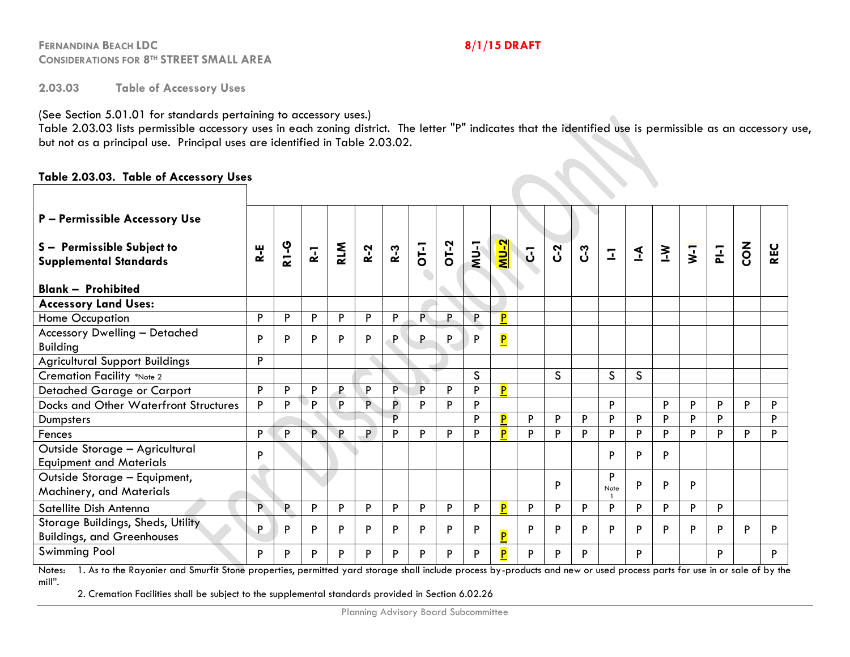**2.03.03 Table of Accessory Uses** 

(See Section 5.01.01 for standards pertaining to accessory uses.)

Table 2.03.03 lists permissible accessory uses in each zoning district. The letter "P" indicates that the identified use is permissible as an accessory use, but not as a principal use. Principal uses are identified in Table 2.03.02.

## **Table 2.03.03. Table of Accessory Uses**

| P - Permissible Accessory Use                                                                                                                                                                                                                                                                                            |                              |
|--------------------------------------------------------------------------------------------------------------------------------------------------------------------------------------------------------------------------------------------------------------------------------------------------------------------------|------------------------------|
|                                                                                                                                                                                                                                                                                                                          |                              |
| <u> 2-UM</u><br><b>2-13</b><br>OT-2<br>$NU-1$<br><b>RLM</b><br>$\overline{O}$<br>S - Permissible Subject to<br>$\overline{\mathbf{y}}$<br>$R-3$<br>C <sub>2</sub><br>$R-2$<br>$\overline{P}$<br>$\mathbf{k}$<br>ပိ<br>$\sum$<br>$\overline{J}$<br>$\mathbf{I}$<br>$R-1$<br>$\mathbf{I}$<br><b>Supplemental Standards</b> | $\overline{a}$<br><b>REC</b> |
| <b>Blank - Prohibited</b>                                                                                                                                                                                                                                                                                                |                              |
| <b>Accessory Land Uses:</b>                                                                                                                                                                                                                                                                                              |                              |
| $\overline{\mathbf{P}}$<br>P<br>P<br>P<br>Home Occupation<br>P<br>P.<br>P.<br>P<br>Þ<br>P.                                                                                                                                                                                                                               |                              |
| <b>Accessory Dwelling - Detached</b><br>$\overline{\mathsf{P}}$<br>P<br>P<br>P<br>P<br>P<br>P<br>P<br>P<br>Þ<br><b>Building</b>                                                                                                                                                                                          |                              |
| Þ<br><b>Agricultural Support Buildings</b>                                                                                                                                                                                                                                                                               |                              |
| S<br>$\mathsf{S}$<br>$\mathsf{S}$<br>$\mathsf{S}$<br>Cremation Facility *Note 2                                                                                                                                                                                                                                          |                              |
| P<br>P<br>P<br>P<br>P<br>P.<br>P<br>Detached Garage or Carport<br>Þ<br>$\mathsf{P}$<br>P                                                                                                                                                                                                                                 |                              |
| P<br>P<br>P.<br><b>Docks and Other Waterfront Structures</b><br>P<br>D<br>D<br>P<br>D<br>Þ<br>P<br>P<br>P<br>P                                                                                                                                                                                                           | D<br>P                       |
| D<br>D<br>P<br>P<br>Þ<br>P<br>P<br>P<br>D<br>P<br>P<br>Dumpsters                                                                                                                                                                                                                                                         | Þ                            |
| P<br>P<br>P.<br><b>P</b><br>Þ<br>P<br>Fences<br>P<br>P<br>P<br>P<br>P<br>P<br>P<br>P<br>P<br>P<br>Þ<br>Þ                                                                                                                                                                                                                 | P<br>P                       |
| Outside Storage - Agricultural<br>P<br>P<br>P<br>P<br><b>Equipment and Materials</b>                                                                                                                                                                                                                                     |                              |
| Outside Storage - Equipment,<br>P<br>P<br>P<br>P<br>P<br>Note<br>Machinery, and Materials                                                                                                                                                                                                                                |                              |
| D<br>Satellite Dish Antenna<br>P<br>P<br>P<br>P<br>P<br>P<br>P<br>P<br>P<br>P<br>P<br>P<br>P<br>P<br>P.<br>P<br>P                                                                                                                                                                                                        |                              |
| Storage Buildings, Sheds, Utility<br>P<br>P<br>P<br>P<br>P<br>P<br>P<br>P<br>P<br>P<br>D<br>P<br>Þ<br>P<br>P<br>P<br>Þ<br>P<br><b>Buildings, and Greenhouses</b>                                                                                                                                                         | Þ<br>Þ                       |
| <b>Swimming Pool</b><br>P<br>P<br>P<br>P<br>P<br>P<br>P<br>P<br>P<br>P<br>P<br>P<br>P<br>P<br>P                                                                                                                                                                                                                          | P                            |

Notes: 1. As to the Rayonier and Smurfit Stone properties, permitted yard storage shall include process by-products and new or used process parts for use in or sale of by the mill".

2. Cremation Facilities shall be subject to the supplemental standards provided in Section 6.02.26